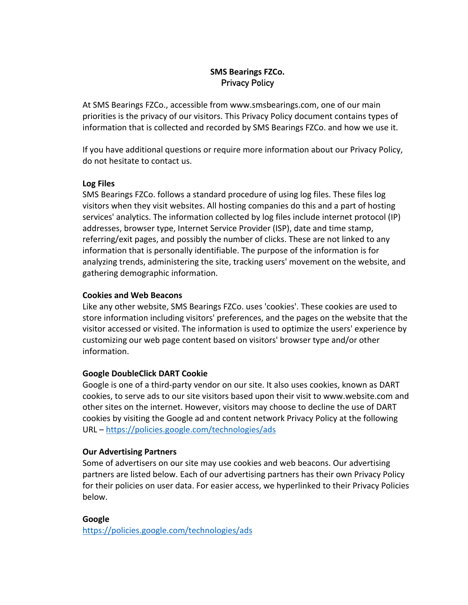## **SMS Bearings FZCo. Privacy Policy**

At SMS Bearings FZCo., accessible from www.smsbearings.com, one of our main priorities is the privacy of our visitors. This Privacy Policy document contains types of information that is collected and recorded by SMS Bearings FZCo. and how we use it.

If you have additional questions or require more information about our Privacy Policy, do not hesitate to contact us.

## **Log Files**

SMS Bearings FZCo. follows a standard procedure of using log files. These files log visitors when they visit websites. All hosting companies do this and a part of hosting services' analytics. The information collected by log files include internet protocol (IP) addresses, browser type, Internet Service Provider (ISP), date and time stamp, referring/exit pages, and possibly the number of clicks. These are not linked to any information that is personally identifiable. The purpose of the information is for analyzing trends, administering the site, tracking users' movement on the website, and gathering demographic information.

## **Cookies and Web Beacons**

Like any other website, SMS Bearings FZCo. uses 'cookies'. These cookies are used to store information including visitors' preferences, and the pages on the website that the visitor accessed or visited. The information is used to optimize the users' experience by customizing our web page content based on visitors' browser type and/or other information.

# **Google DoubleClick DART Cookie**

Google is one of a third-party vendor on our site. It also uses cookies, known as DART cookies, to serve ads to our site visitors based upon their visit to www.website.com and other sites on the internet. However, visitors may choose to decline the use of DART cookies by visiting the Google ad and content network Privacy Policy at the following URL – https://policies.google.com/technologies/ads

### **Our Advertising Partners**

Some of advertisers on our site may use cookies and web beacons. Our advertising partners are listed below. Each of our advertising partners has their own Privacy Policy for their policies on user data. For easier access, we hyperlinked to their Privacy Policies below.

# **Google**

https://policies.google.com/technologies/ads